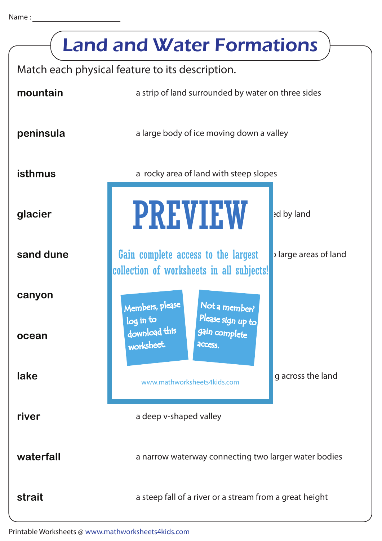